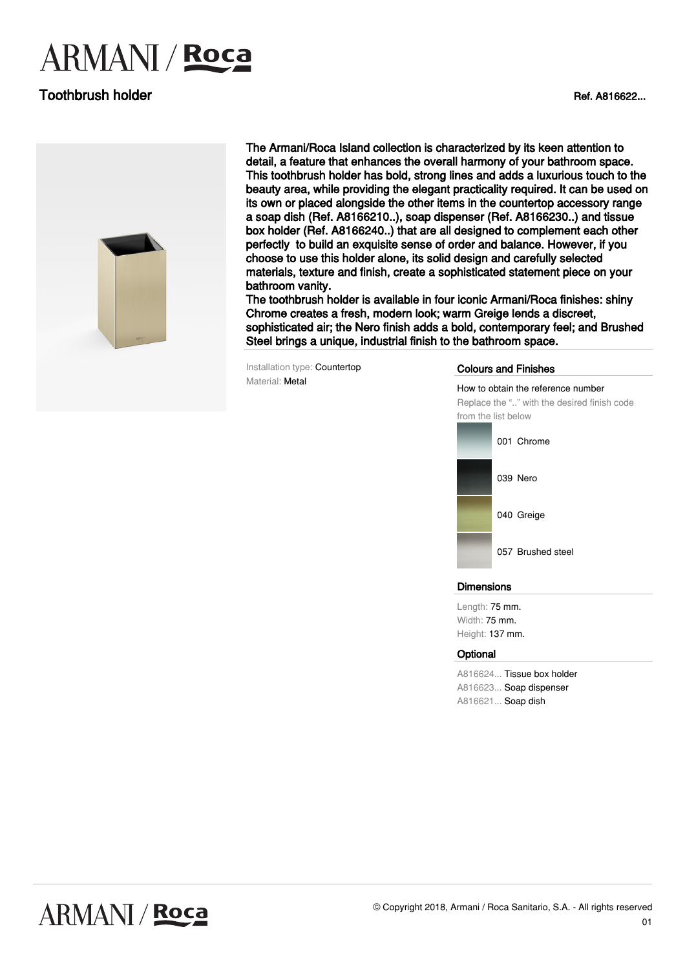# **ARMANI** / **Roca**

## **Toothbrush holder Ref. A816622...**



The Armani/Roca Island collection is characterized by its keen attention to detail, a feature that enhances the overall harmony of your bathroom space. This toothbrush holder has bold, strong lines and adds a luxurious touch to the beauty area, while providing the elegant practicality required. It can be used on its own or placed alongside the other items in the countertop accessory range a soap dish (Ref. A8166210..), soap dispenser (Ref. A8166230..) and tissue box holder (Ref. A8166240..) that are all designed to complement each other perfectly to build an exquisite sense of order and balance. However, if you choose to use this holder alone, its solid design and carefully selected materials, texture and finish, create a sophisticated statement piece on your bathroom vanity.

The toothbrush holder is available in four iconic Armani/Roca finishes: shiny Chrome creates a fresh, modern look; warm Greige lends a discreet, sophisticated air; the Nero finish adds a bold, contemporary feel; and Brushed Steel brings a unique, industrial finish to the bathroom space.

Installation type: Countertop Material: Metal

#### Colours and Finishes

How to obtain the reference number Replace the ".." with the desired finish code from the list below 001 Chrome 039 Nero

057 Brushed steel

040 Greige

#### **Dimensions**

Length: 75 mm. Width: 75 mm. Height: 137 mm.

#### **Optional**

A816624... Tissue box holder A816623... Soap dispenser A816621... Soap dish

## **ARMANI / Roca**

01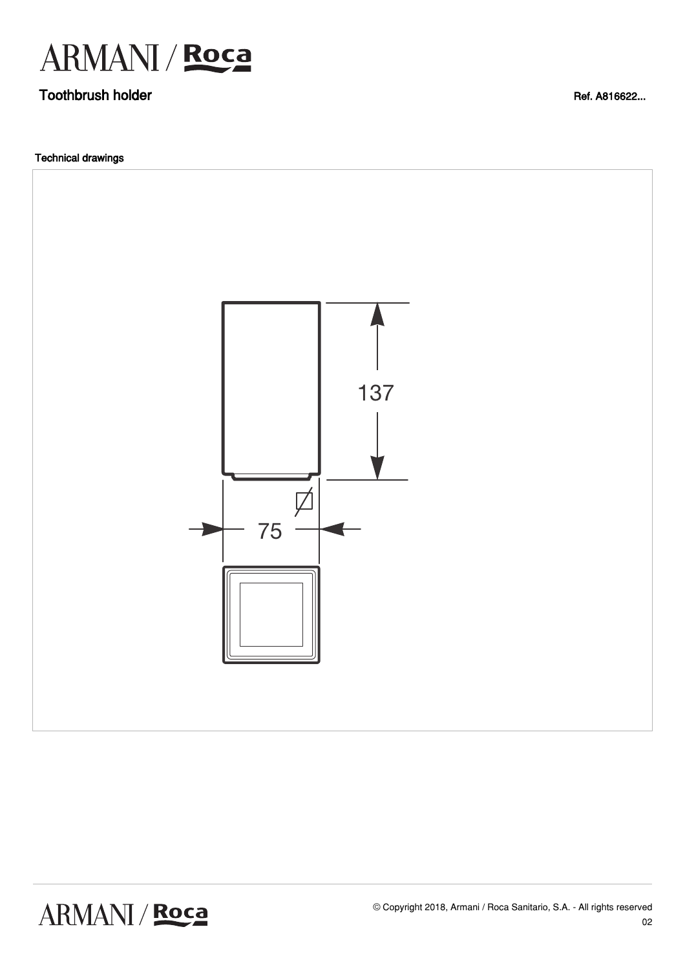

## **Toothbrush holder Ref. A816622...**

Technical drawings